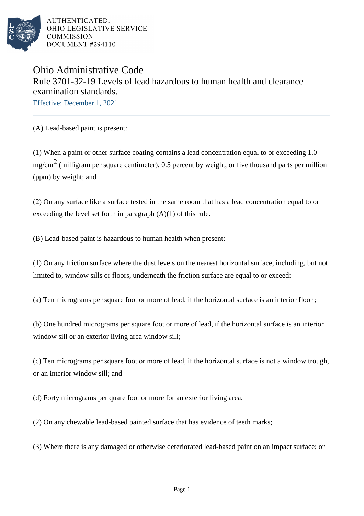

AUTHENTICATED, OHIO LEGISLATIVE SERVICE **COMMISSION** DOCUMENT #294110

## Ohio Administrative Code Rule 3701-32-19 Levels of lead hazardous to human health and clearance examination standards.

Effective: December 1, 2021

(A) Lead-based paint is present:

(1) When a paint or other surface coating contains a lead concentration equal to or exceeding 1.0  $mg/cm<sup>2</sup>$  (milligram per square centimeter), 0.5 percent by weight, or five thousand parts per million (ppm) by weight; and

(2) On any surface like a surface tested in the same room that has a lead concentration equal to or exceeding the level set forth in paragraph (A)(1) of this rule.

(B) Lead-based paint is hazardous to human health when present:

(1) On any friction surface where the dust levels on the nearest horizontal surface, including, but not limited to, window sills or floors, underneath the friction surface are equal to or exceed:

(a) Ten micrograms per square foot or more of lead, if the horizontal surface is an interior floor ;

(b) One hundred micrograms per square foot or more of lead, if the horizontal surface is an interior window sill or an exterior living area window sill;

(c) Ten micrograms per square foot or more of lead, if the horizontal surface is not a window trough, or an interior window sill; and

(d) Forty micrograms per quare foot or more for an exterior living area.

(2) On any chewable lead-based painted surface that has evidence of teeth marks;

(3) Where there is any damaged or otherwise deteriorated lead-based paint on an impact surface; or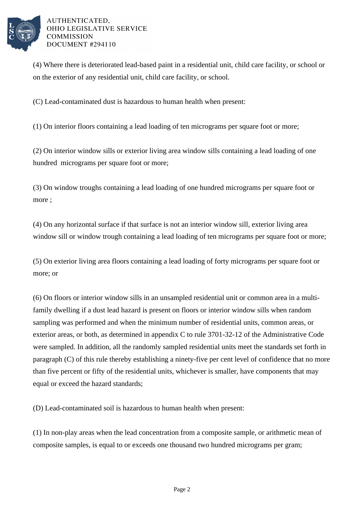

AUTHENTICATED. OHIO LEGISLATIVE SERVICE **COMMISSION** DOCUMENT #294110

(4) Where there is deteriorated lead-based paint in a residential unit, child care facility, or school or on the exterior of any residential unit, child care facility, or school.

(C) Lead-contaminated dust is hazardous to human health when present:

(1) On interior floors containing a lead loading of ten micrograms per square foot or more;

(2) On interior window sills or exterior living area window sills containing a lead loading of one hundred micrograms per square foot or more;

(3) On window troughs containing a lead loading of one hundred micrograms per square foot or more ;

(4) On any horizontal surface if that surface is not an interior window sill, exterior living area window sill or window trough containing a lead loading of ten micrograms per square foot or more;

(5) On exterior living area floors containing a lead loading of forty micrograms per square foot or more; or

(6) On floors or interior window sills in an unsampled residential unit or common area in a multifamily dwelling if a dust lead hazard is present on floors or interior window sills when random sampling was performed and when the minimum number of residential units, common areas, or exterior areas, or both, as determined in appendix C to rule 3701-32-12 of the Administrative Code were sampled. In addition, all the randomly sampled residential units meet the standards set forth in paragraph (C) of this rule thereby establishing a ninety-five per cent level of confidence that no more than five percent or fifty of the residential units, whichever is smaller, have components that may equal or exceed the hazard standards;

(D) Lead-contaminated soil is hazardous to human health when present:

(1) In non-play areas when the lead concentration from a composite sample, or arithmetic mean of composite samples, is equal to or exceeds one thousand two hundred micrograms per gram;